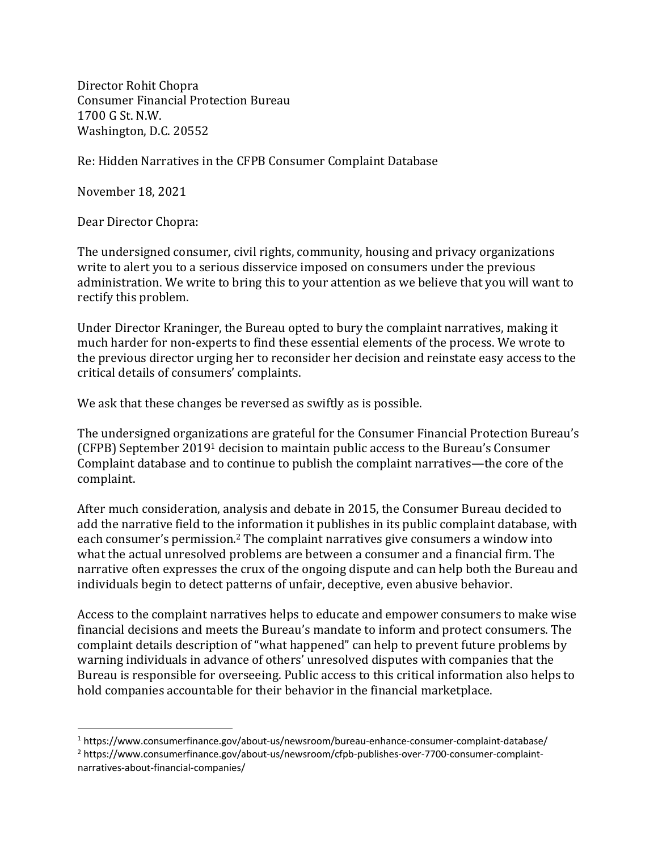Director Rohit Chopra Consumer Financial Protection Bureau 1700 G St. N.W. Washington, D.C. 20552

Re: Hidden Narratives in the CFPB Consumer Complaint Database

November 18, 2021

Dear Director Chopra:

The undersigned consumer, civil rights, community, housing and privacy organizations write to alert you to a serious disservice imposed on consumers under the previous administration. We write to bring this to your attention as we believe that you will want to rectify this problem.

Under Director Kraninger, the Bureau opted to bury the complaint narratives, making it much harder for non-experts to find these essential elements of the process. We wrote to the previous director urging her to reconsider her decision and reinstate easy access to the critical details of consumers' complaints.

We ask that these changes be reversed as swiftly as is possible.

The undersigned organizations are grateful for the Consumer Financial Protection Bureau's (CFPB) September 2019<sup>1</sup> decision to maintain public access to the Bureau's Consumer Complaint database and to continue to publish the complaint narratives—the core of the complaint. 

After much consideration, analysis and debate in 2015, the Consumer Bureau decided to add the narrative field to the information it publishes in its public complaint database, with each consumer's permission.<sup>2</sup> The complaint narratives give consumers a window into what the actual unresolved problems are between a consumer and a financial firm. The narrative often expresses the crux of the ongoing dispute and can help both the Bureau and individuals begin to detect patterns of unfair, deceptive, even abusive behavior.

Access to the complaint narratives helps to educate and empower consumers to make wise financial decisions and meets the Bureau's mandate to inform and protect consumers. The complaint details description of "what happened" can help to prevent future problems by warning individuals in advance of others' unresolved disputes with companies that the Bureau is responsible for overseeing. Public access to this critical information also helps to hold companies accountable for their behavior in the financial marketplace.

<sup>1</sup> https://www.consumerfinance.gov/about-us/newsroom/bureau-enhance-consumer-complaint-database/

<sup>2</sup> https://www.consumerfinance.gov/about-us/newsroom/cfpb-publishes-over-7700-consumer-complaintnarratives-about-financial-companies/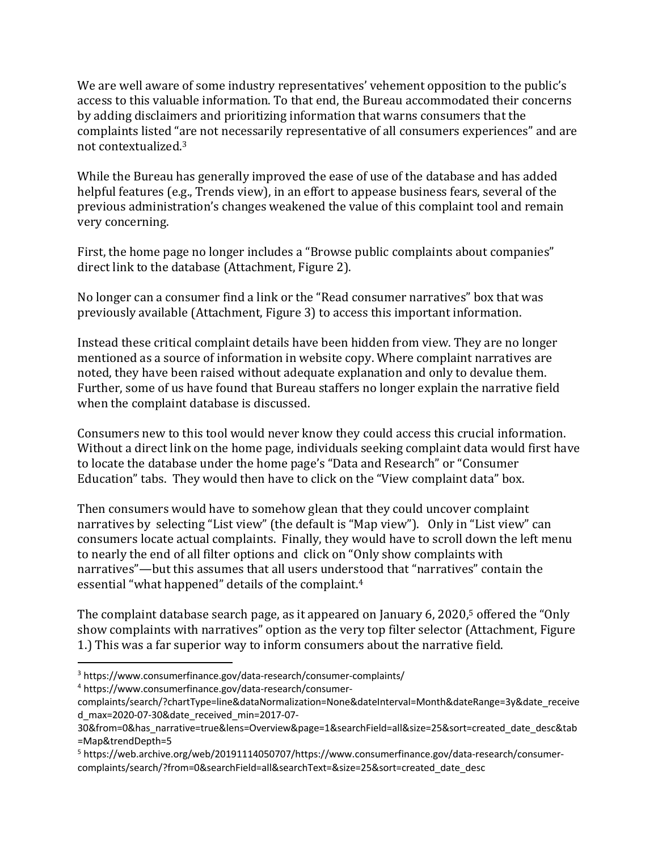We are well aware of some industry representatives' vehement opposition to the public's access to this valuable information. To that end, the Bureau accommodated their concerns by adding disclaimers and prioritizing information that warns consumers that the complaints listed "are not necessarily representative of all consumers experiences" and are not contextualized.<sup>3</sup>

While the Bureau has generally improved the ease of use of the database and has added helpful features (e.g., Trends view), in an effort to appease business fears, several of the previous administration's changes weakened the value of this complaint tool and remain very concerning.

First, the home page no longer includes a "Browse public complaints about companies" direct link to the database (Attachment, Figure 2).

No longer can a consumer find a link or the "Read consumer narratives" box that was previously available (Attachment, Figure 3) to access this important information.

Instead these critical complaint details have been hidden from view. They are no longer mentioned as a source of information in website copy. Where complaint narratives are noted, they have been raised without adequate explanation and only to devalue them. Further, some of us have found that Bureau staffers no longer explain the narrative field when the complaint database is discussed.

Consumers new to this tool would never know they could access this crucial information. Without a direct link on the home page, individuals seeking complaint data would first have to locate the database under the home page's "Data and Research" or "Consumer Education" tabs. They would then have to click on the "View complaint data" box.

Then consumers would have to somehow glean that they could uncover complaint narratives by selecting "List view" (the default is "Map view"). Only in "List view" can consumers locate actual complaints. Finally, they would have to scroll down the left menu to nearly the end of all filter options and click on "Only show complaints with narratives"—but this assumes that all users understood that "narratives" contain the essential "what happened" details of the complaint.<sup>4</sup>

The complaint database search page, as it appeared on January 6, 2020,<sup>5</sup> offered the "Only show complaints with narratives" option as the very top filter selector (Attachment, Figure 1.) This was a far superior way to inform consumers about the narrative field.

<sup>4</sup> https://www.consumerfinance.gov/data-research/consumer-

<sup>3</sup> https://www.consumerfinance.gov/data-research/consumer-complaints/

complaints/search/?chartType=line&dataNormalization=None&dateInterval=Month&dateRange=3y&date\_receive d\_max=2020-07-30&date\_received\_min=2017-07-

<sup>30&</sup>amp;from=0&has\_narrative=true&lens=Overview&page=1&searchField=all&size=25&sort=created\_date\_desc&tab =Map&trendDepth=5

<sup>5</sup> https://web.archive.org/web/20191114050707/https://www.consumerfinance.gov/data-research/consumercomplaints/search/?from=0&searchField=all&searchText=&size=25&sort=created\_date\_desc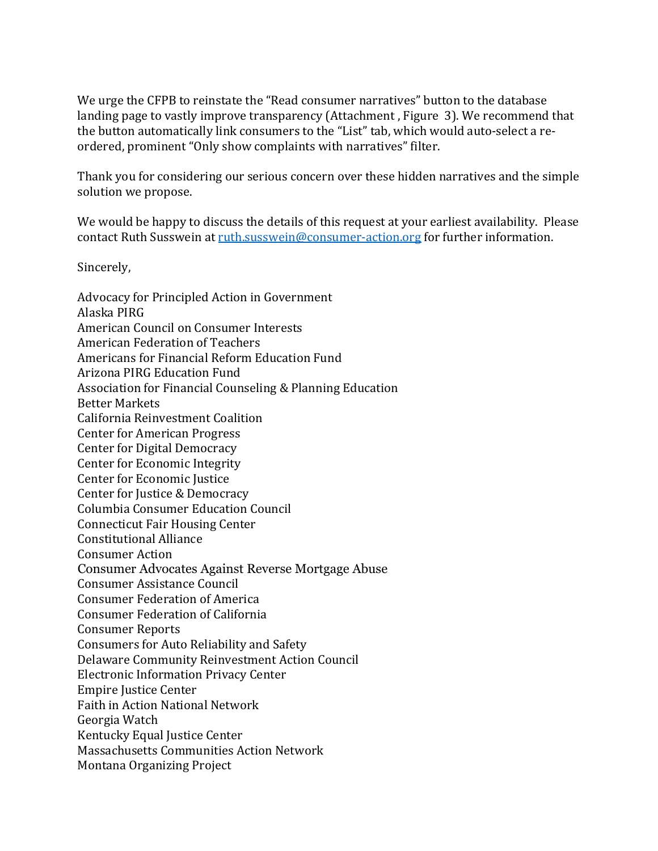We urge the CFPB to reinstate the "Read consumer narratives" button to the database landing page to vastly improve transparency (Attachment, Figure 3). We recommend that the button automatically link consumers to the "List" tab, which would auto-select a reordered, prominent "Only show complaints with narratives" filter.

Thank you for considering our serious concern over these hidden narratives and the simple solution we propose.

We would be happy to discuss the details of this request at your earliest availability. Please contact Ruth Susswein at ruth.susswein@consumer-action.org for further information.

Sincerely, 

Advocacy for Principled Action in Government Alaska PIRG American Council on Consumer Interests American Federation of Teachers Americans for Financial Reform Education Fund Arizona PIRG Education Fund Association for Financial Counseling & Planning Education Better Markets California Reinvestment Coalition Center for American Progress Center for Digital Democracy Center for Economic Integrity Center for Economic Justice Center for Justice & Democracy Columbia Consumer Education Council Connecticut Fair Housing Center Constitutional Alliance Consumer Action Consumer Advocates Against Reverse Mortgage Abuse Consumer Assistance Council Consumer Federation of America Consumer Federation of California Consumer Reports Consumers for Auto Reliability and Safety Delaware Community Reinvestment Action Council Electronic Information Privacy Center Empire Justice Center Faith in Action National Network Georgia Watch Kentucky Equal Justice Center Massachusetts Communities Action Network Montana Organizing Project